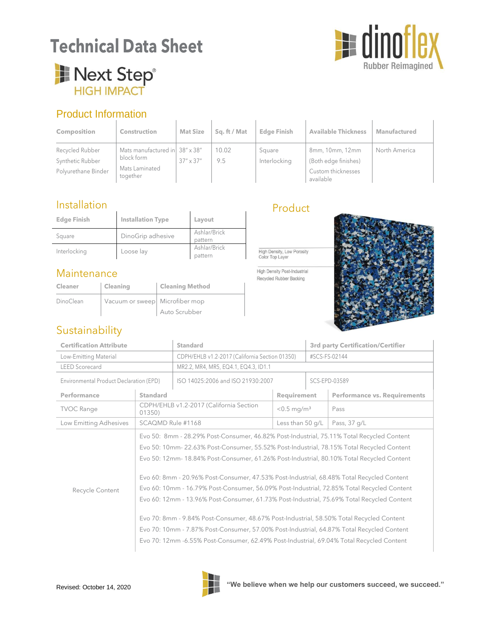# **Technical Data Sheet**



## Next Step® **HIGH IMPACT**

### Product Information

| <b>Composition</b>                                         | <b>Construction</b>                                                        | <b>Mat Size</b>    | Sq. ft / Mat | <b>Edge Finish</b>     | <b>Available Thickness</b>                                                 | <b>Manufactured</b> |
|------------------------------------------------------------|----------------------------------------------------------------------------|--------------------|--------------|------------------------|----------------------------------------------------------------------------|---------------------|
| Recycled Rubber<br>Synthetic Rubber<br>Polyurethane Binder | Mats manufactured in 38" x 38"<br>block form<br>Mats Laminated<br>together | $37'' \times 37''$ | 10.02<br>9.5 | Square<br>Interlocking | 8mm, 10mm, 12mm<br>(Both edge finishes)<br>Custom thicknesses<br>available | North America       |

### Installation

| <b>Edge Finish</b> | <b>Installation Type</b> | Layout                  |
|--------------------|--------------------------|-------------------------|
| Square             | DinoGrip adhesive        | Ashlar/Brick<br>pattern |
| Interlocking       | Loose lay                | Ashlar/Brick<br>pattern |

### Maintenance

**Sustainability** 

| <b>Cleaner</b> | Cleaning                                   | <b>Cleaning Method</b> |
|----------------|--------------------------------------------|------------------------|
| DinoClean      | Vacuum or sweep $\big\vert$ Microfiber mop |                        |
|                |                                            | Auto Scrubber          |

### Product

High Density, Low Porosity Color Top Laver

High Density Post-Industrial Recycled Rubber Backing



#### **Performance Standard Standard Requirement Performance vs. Requirements** TVOC Range CDPH/EHLB v1.2-2017 (California Section<br>01350)  $<$ 0.5 mg/m<sup>3</sup> Pass Low Emitting Adhesives SCAQMD Rule #1168 Less than 50 g/L Pass, 37 g/L Recycle Content Evo 50: 8mm - 28.29% Post-Consumer, 46.82% Post-Industrial, 75.11% Total Recycled Content Evo 50: 10mm- 22.63% Post-Consumer, 55.52% Post-Industrial, 78.15% Total Recycled Content Evo 50: 12mm- 18.84% Post-Consumer, 61.26% Post-Industrial, 80.10% Total Recycled Content Evo 60: 8mm - 20.96% Post-Consumer, 47.53% Post-Industrial, 68.48% Total Recycled Content Evo 60: 10mm - 16.79% Post-Consumer, 56.09% Post-Industrial, 72.85% Total Recycled Content Evo 60: 12mm - 13.96% Post-Consumer, 61.73% Post-Industrial, 75.69% Total Recycled Content Evo 70: 8mm - 9.84% Post-Consumer, 48.67% Post-Industrial, 58.50% Total Recycled Content Evo 70: 10mm - 7.87% Post-Consumer, 57.00% Post-Industrial, 64.87% Total Recycled Content Evo 70: 12mm -6.55% Post-Consumer, 62.49% Post-Industrial, 69.04% Total Recycled Content **Certification Attribute Standard 3rd party Certification/Certifier** Low-Emitting Material CDPH/EHLB v1.2-2017 (California Section 01350) #SCS-FS-02144 LEED Scorecard MR2.2, MR4, MR5, EQ4.1, EQ4.3, ID1.1 Environmental Product Declaration (EPD) | ISO 14025:2006 and ISO 21930:2007 | SCS-EPD-03589

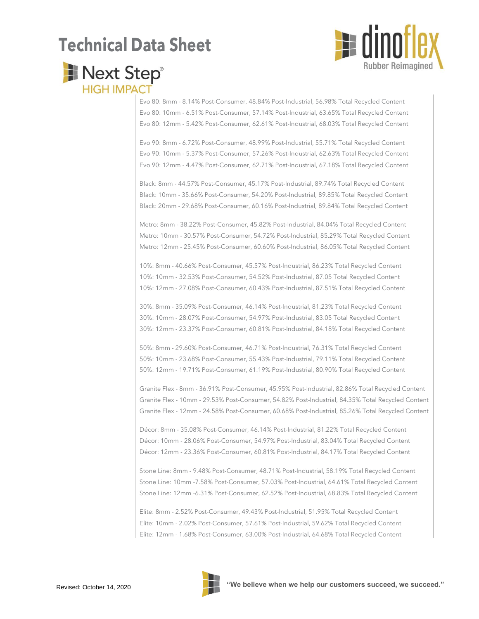# **Technical Data Sheet**



## Next Step® **HIGH IMPACT**

Evo 80: 8mm - 8.14% Post-Consumer, 48.84% Post-Industrial, 56.98% Total Recycled Content Evo 80: 10mm - 6.51% Post-Consumer, 57.14% Post-Industrial, 63.65% Total Recycled Content Evo 80: 12mm - 5.42% Post-Consumer, 62.61% Post-Industrial, 68.03% Total Recycled Content

Evo 90: 8mm - 6.72% Post-Consumer, 48.99% Post-Industrial, 55.71% Total Recycled Content Evo 90: 10mm - 5.37% Post-Consumer, 57.26% Post-Industrial, 62.63% Total Recycled Content Evo 90: 12mm - 4.47% Post-Consumer, 62.71% Post-Industrial, 67.18% Total Recycled Content

Black: 8mm - 44.57% Post-Consumer, 45.17% Post-Industrial, 89.74% Total Recycled Content Black: 10mm - 35.66% Post-Consumer, 54.20% Post-Industrial, 89.85% Total Recycled Content Black: 20mm - 29.68% Post-Consumer, 60.16% Post-Industrial, 89.84% Total Recycled Content

Metro: 8mm - 38.22% Post-Consumer, 45.82% Post-Industrial, 84.04% Total Recycled Content Metro: 10mm - 30.57% Post-Consumer, 54.72% Post-Industrial, 85.29% Total Recycled Content Metro: 12mm - 25.45% Post-Consumer, 60.60% Post-Industrial, 86.05% Total Recycled Content

10%: 8mm - 40.66% Post-Consumer, 45.57% Post-Industrial, 86.23% Total Recycled Content 10%: 10mm - 32.53% Post-Consumer, 54.52% Post-Industrial, 87.05 Total Recycled Content 10%: 12mm - 27.08% Post-Consumer, 60.43% Post-Industrial, 87.51% Total Recycled Content

30%: 8mm - 35.09% Post-Consumer, 46.14% Post-Industrial, 81.23% Total Recycled Content 30%: 10mm - 28.07% Post-Consumer, 54.97% Post-Industrial, 83.05 Total Recycled Content 30%: 12mm - 23.37% Post-Consumer, 60.81% Post-Industrial, 84.18% Total Recycled Content

50%: 8mm - 29.60% Post-Consumer, 46.71% Post-Industrial, 76.31% Total Recycled Content 50%: 10mm - 23.68% Post-Consumer, 55.43% Post-Industrial, 79.11% Total Recycled Content 50%: 12mm - 19.71% Post-Consumer, 61.19% Post-Industrial, 80.90% Total Recycled Content

Granite Flex - 8mm - 36.91% Post-Consumer, 45.95% Post-Industrial, 82.86% Total Recycled Content Granite Flex - 10mm - 29.53% Post-Consumer, 54.82% Post-Industrial, 84.35% Total Recycled Content Granite Flex - 12mm - 24.58% Post-Consumer, 60.68% Post-Industrial, 85.26% Total Recycled Content

Décor: 8mm - 35.08% Post-Consumer, 46.14% Post-Industrial, 81.22% Total Recycled Content Décor: 10mm - 28.06% Post-Consumer, 54.97% Post-Industrial, 83.04% Total Recycled Content Décor: 12mm - 23.36% Post-Consumer, 60.81% Post-Industrial, 84.17% Total Recycled Content

Stone Line: 8mm - 9.48% Post-Consumer, 48.71% Post-Industrial, 58.19% Total Recycled Content Stone Line: 10mm -7.58% Post-Consumer, 57.03% Post-Industrial, 64.61% Total Recycled Content Stone Line: 12mm -6.31% Post-Consumer, 62.52% Post-Industrial, 68.83% Total Recycled Content

Elite: 8mm - 2.52% Post-Consumer, 49.43% Post-Industrial, 51.95% Total Recycled Content Elite: 10mm - 2.02% Post-Consumer, 57.61% Post-Industrial, 59.62% Total Recycled Content Elite: 12mm - 1.68% Post-Consumer, 63.00% Post-Industrial, 64.68% Total Recycled Content